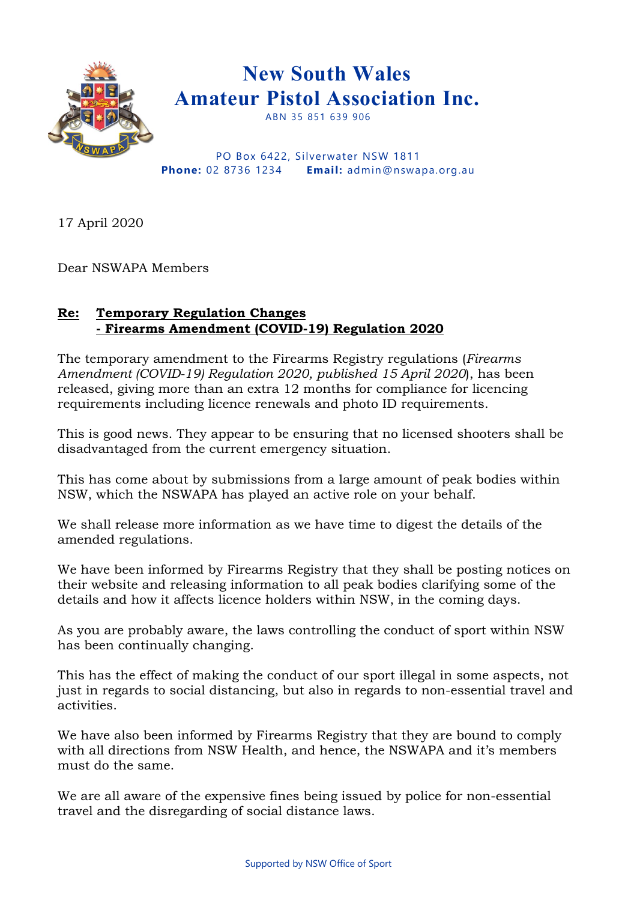

PO Box 6422, Silverwater NSW 1811 **Phone:** 02 8736 1234 **Email:** admin@nswapa.org.au

17 April 2020

Dear NSWAPA Members

## **Re: Temporary Regulation Changes - Firearms Amendment (COVID-19) Regulation 2020**

The temporary amendment to the Firearms Registry regulations (*Firearms Amendment (COVID-19) Regulation 2020, published 15 April 2020*), has been released, giving more than an extra 12 months for compliance for licencing requirements including licence renewals and photo ID requirements.

This is good news. They appear to be ensuring that no licensed shooters shall be disadvantaged from the current emergency situation.

This has come about by submissions from a large amount of peak bodies within NSW, which the NSWAPA has played an active role on your behalf.

We shall release more information as we have time to digest the details of the amended regulations.

We have been informed by Firearms Registry that they shall be posting notices on their website and releasing information to all peak bodies clarifying some of the details and how it affects licence holders within NSW, in the coming days.

As you are probably aware, the laws controlling the conduct of sport within NSW has been continually changing.

This has the effect of making the conduct of our sport illegal in some aspects, not just in regards to social distancing, but also in regards to non-essential travel and activities.

We have also been informed by Firearms Registry that they are bound to comply with all directions from NSW Health, and hence, the NSWAPA and it's members must do the same.

We are all aware of the expensive fines being issued by police for non-essential travel and the disregarding of social distance laws.